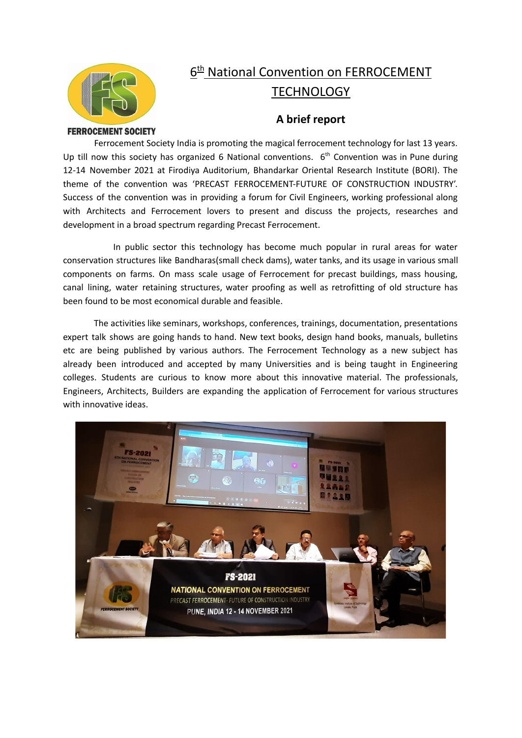

## **6<sup>th</sup> National Convention on FERROCEMENT TECHNOLOGY**

## **A brief report**

## **FERROCEMENT SOCIETY**

Ferrocement Society India is promoting the magical ferrocement technology for last 13 years. Up till now this society has organized 6 National conventions.  $6<sup>th</sup>$  Convention was in Pune during 12-14 November 2021 at Firodiya Auditorium, Bhandarkar Oriental Research Institute (BORI). The theme of the convention was 'PRECAST FERROCEMENT-FUTURE OF CONSTRUCTION INDUSTRY'. Success of the convention was in providing a forum for Civil Engineers, working professional along with Architects and Ferrocement lovers to present and discuss the projects, researches and development in a broad spectrum regarding Precast Ferrocement.

In public sector this technology has become much popular in rural areas for water conservation structures like Bandharas(small check dams), water tanks, and its usage in various small components on farms. On mass scale usage of Ferrocement for precast buildings, mass housing, canal lining, water retaining structures, water proofing as well as retrofitting of old structure has been found to be most economical durable and feasible.

The activities like seminars, workshops, conferences, trainings, documentation, presentations expert talk shows are going hands to hand. New text books, design hand books, manuals, bulletins etc are being published by various authors. The Ferrocement Technology as a new subject has already been introduced and accepted by many Universities and is being taught in Engineering colleges. Students are curious to know more about this innovative material. The professionals, Engineers, Architects, Builders are expanding the application of Ferrocement for various structures with innovative ideas.